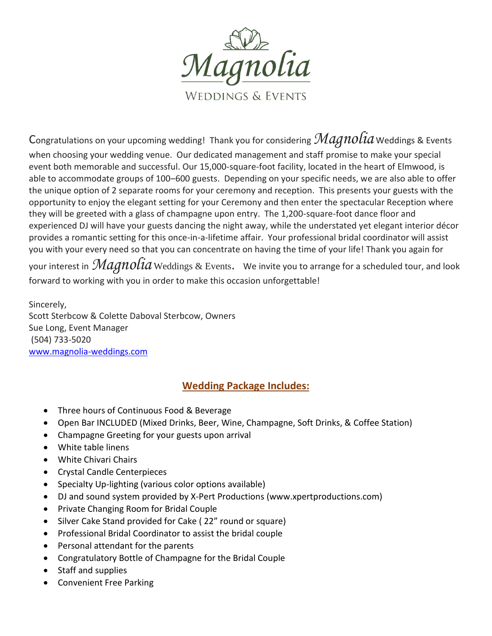

Congratulations on your upcoming wedding! Thank you for considering *Magnolia* Weddings & Events

when choosing your wedding venue. Our dedicated management and staff promise to make your special event both memorable and successful. Our 15,000-square-foot facility, located in the heart of Elmwood, is able to accommodate groups of 100–600 guests. Depending on your specific needs, we are also able to offer the unique option of 2 separate rooms for your ceremony and reception. This presents your guests with the opportunity to enjoy the elegant setting for your Ceremony and then enter the spectacular Reception where they will be greeted with a glass of champagne upon entry. The 1,200-square-foot dance floor and experienced DJ will have your guests dancing the night away, while the understated yet elegant interior décor provides a romantic setting for this once-in-a-lifetime affair. Your professional bridal coordinator will assist you with your every need so that you can concentrate on having the time of your life! Thank you again for

your interest in *Magnolia* Weddings & Events*.* We invite you to arrange for a scheduled tour, and look forward to working with you in order to make this occasion unforgettable!

Sincerely, Scott Sterbcow & Colette Daboval Sterbcow, Owners Sue Long, Event Manager (504) 733-5020 www.magnolia-weddings.com

## **Wedding Package Includes:**

- Three hours of Continuous Food & Beverage
- Open Bar INCLUDED (Mixed Drinks, Beer, Wine, Champagne, Soft Drinks, & Coffee Station)
- Champagne Greeting for your guests upon arrival
- White table linens
- White Chivari Chairs
- Crystal Candle Centerpieces
- Specialty Up-lighting (various color options available)
- DJ and sound system provided by X-Pert Productions (www.xpertproductions.com)
- Private Changing Room for Bridal Couple
- Silver Cake Stand provided for Cake ( 22" round or square)
- Professional Bridal Coordinator to assist the bridal couple
- Personal attendant for the parents
- Congratulatory Bottle of Champagne for the Bridal Couple
- Staff and supplies
- Convenient Free Parking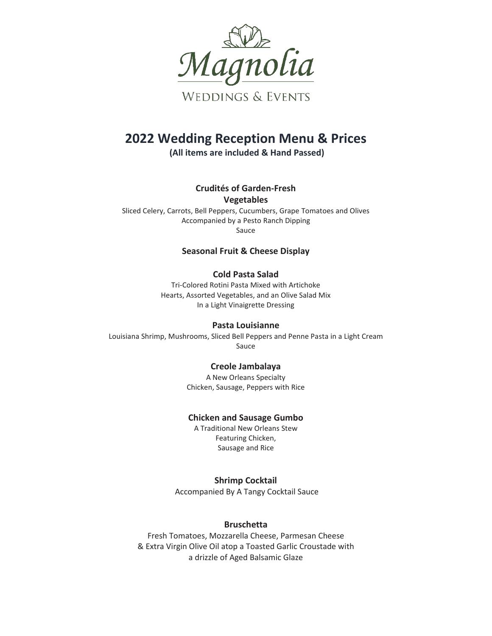

## **2022 Wedding Reception Menu & Prices**

**(All items are included & Hand Passed)**

**Crudités of Garden-Fresh Vegetables**

Sliced Celery, Carrots, Bell Peppers, Cucumbers, Grape Tomatoes and Olives Accompanied by a Pesto Ranch Dipping Sauce

## **Seasonal Fruit & Cheese Display**

## **Cold Pasta Salad**

Tri-Colored Rotini Pasta Mixed with Artichoke Hearts, Assorted Vegetables, and an Olive Salad Mix In a Light Vinaigrette Dressing

## **Pasta Louisianne**

Louisiana Shrimp, Mushrooms, Sliced Bell Peppers and Penne Pasta in a Light Cream Sauce

## **Creole Jambalaya**

A New Orleans Specialty Chicken, Sausage, Peppers with Rice

## **Chicken and Sausage Gumbo**

A Traditional New Orleans Stew Featuring Chicken, Sausage and Rice

## **Shrimp Cocktail**

Accompanied By A Tangy Cocktail Sauce

## **Bruschetta**

Fresh Tomatoes, Mozzarella Cheese, Parmesan Cheese & Extra Virgin Olive Oil atop a Toasted Garlic Croustade with a drizzle of Aged Balsamic Glaze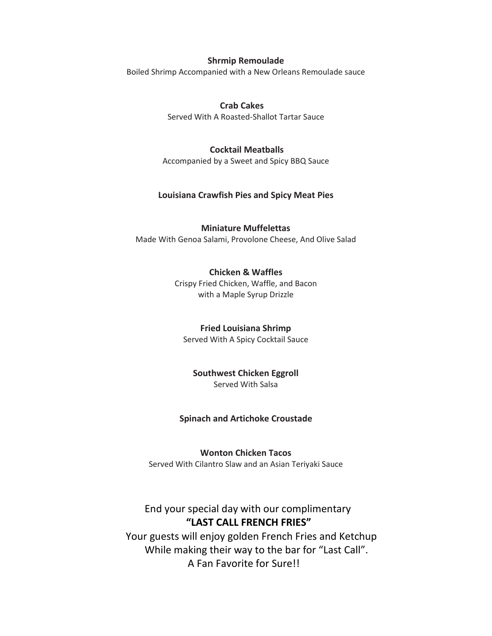### **Shrmip Remoulade**

Boiled Shrimp Accompanied with a New Orleans Remoulade sauce

## **Crab Cakes**

Served With A Roasted-Shallot Tartar Sauce

## **Cocktail Meatballs**

Accompanied by a Sweet and Spicy BBQ Sauce

## **Louisiana Crawfish Pies and Spicy Meat Pies**

## **Miniature Muffelettas**

Made With Genoa Salami, Provolone Cheese, And Olive Salad

#### **Chicken & Waffles**

Crispy Fried Chicken, Waffle, and Bacon with a Maple Syrup Drizzle

#### **Fried Louisiana Shrimp**

Served With A Spicy Cocktail Sauce

## **Southwest Chicken Eggroll**

Served With Salsa

## **Spinach and Artichoke Croustade**

#### **Wonton Chicken Tacos**

Served With Cilantro Slaw and an Asian Teriyaki Sauce

## End your special day with our complimentary **"LAST CALL FRENCH FRIES"**

Your guests will enjoy golden French Fries and Ketchup While making their way to the bar for "Last Call". A Fan Favorite for Sure!!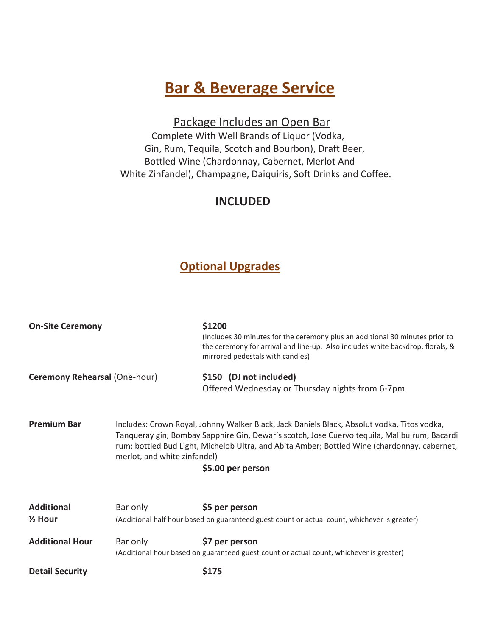# **Bar & Beverage Service**

Package Includes an Open Bar

 Complete With Well Brands of Liquor (Vodka, Gin, Rum, Tequila, Scotch and Bourbon), Draft Beer, Bottled Wine (Chardonnay, Cabernet, Merlot And White Zinfandel), Champagne, Daiquiris, Soft Drinks and Coffee.

## **INCLUDED**

## **Optional Upgrades**

| <b>On-Site Ceremony</b>                 |                              | \$1200<br>(Includes 30 minutes for the ceremony plus an additional 30 minutes prior to<br>the ceremony for arrival and line-up. Also includes white backdrop, florals, &<br>mirrored pedestals with candles)                                                                                                     |
|-----------------------------------------|------------------------------|------------------------------------------------------------------------------------------------------------------------------------------------------------------------------------------------------------------------------------------------------------------------------------------------------------------|
| Ceremony Rehearsal (One-hour)           |                              | \$150 (DJ not included)<br>Offered Wednesday or Thursday nights from 6-7pm                                                                                                                                                                                                                                       |
| <b>Premium Bar</b>                      | merlot, and white zinfandel) | Includes: Crown Royal, Johnny Walker Black, Jack Daniels Black, Absolut vodka, Titos vodka,<br>Tanqueray gin, Bombay Sapphire Gin, Dewar's scotch, Jose Cuervo tequila, Malibu rum, Bacardi<br>rum; bottled Bud Light, Michelob Ultra, and Abita Amber; Bottled Wine (chardonnay, cabernet,<br>\$5.00 per person |
| <b>Additional</b><br>$\frac{1}{2}$ Hour | Bar only                     | \$5 per person<br>(Additional half hour based on guaranteed guest count or actual count, whichever is greater)                                                                                                                                                                                                   |
| <b>Additional Hour</b>                  | Bar only                     | \$7 per person<br>(Additional hour based on guaranteed guest count or actual count, whichever is greater)                                                                                                                                                                                                        |
| <b>Detail Security</b>                  |                              | \$175                                                                                                                                                                                                                                                                                                            |